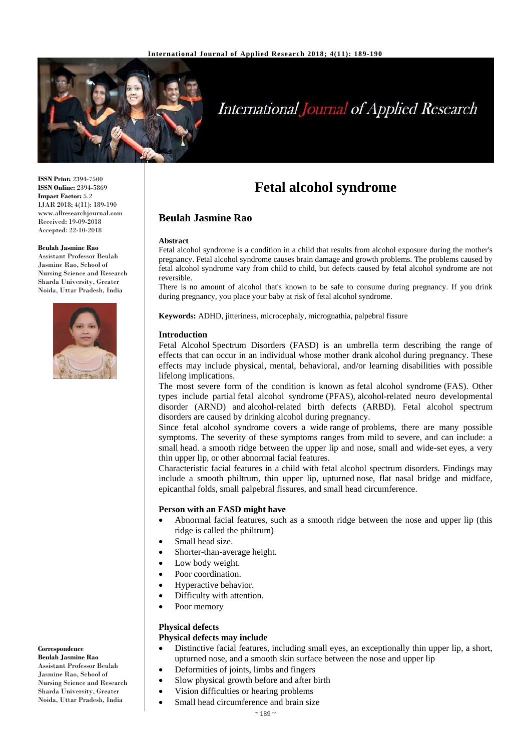

# **International Journal of Applied Research**

**ISSN Print:** 2394-7500 **ISSN Online:** 2394-5869 **Impact Factor:** 5.2 IJAR 2018; 4(11): 189-190 www.allresearchjournal.com Received: 19-09-2018 Accepted: 22-10-2018

#### **Beulah Jasmine Rao**

Assistant Professor Beulah Jasmine Rao, School of Nursing Science and Research Sharda University, Greater Noida, Uttar Pradesh, India



**Correspondence Beulah Jasmine Rao** Assistant Professor Beulah Jasmine Rao, School of Nursing Science and Research Sharda University, Greater Noida, Uttar Pradesh, India

## **Fetal alcohol syndrome**

#### **Beulah Jasmine Rao**

#### **Abstract**

Fetal alcohol syndrome is a condition in a child that results from alcohol exposure during the mother's pregnancy. Fetal alcohol syndrome causes brain damage and growth problems. The problems caused by fetal alcohol syndrome vary from child to child, but defects caused by fetal alcohol syndrome are not reversible.

There is no amount of alcohol that's known to be safe to consume during pregnancy. If you drink during pregnancy, you place your baby at risk of fetal alcohol syndrome.

**Keywords:** ADHD, jitteriness, microcephaly, micrognathia, palpebral fissure

#### **Introduction**

Fetal Alcohol Spectrum Disorders (FASD) is an umbrella term describing the range of effects that can occur in an individual whose mother drank alcohol during pregnancy. These effects may include physical, mental, behavioral, and/or learning disabilities with possible lifelong implications.

The most severe form of the condition is known as fetal alcohol syndrome (FAS). Other types include partial fetal alcohol syndrome (PFAS), alcohol-related neuro developmental disorder (ARND) and alcohol-related birth defects (ARBD). Fetal alcohol spectrum disorders are caused by drinking alcohol during pregnancy.

Since fetal alcohol syndrome covers a wide range of problems, there are many possible symptoms. The severity of these symptoms ranges from mild to severe, and can include: a small head. a smooth ridge between the upper lip and nose, small and wide-set eyes, a very thin upper lip, or other abnormal facial features.

Characteristic facial features in a child with fetal alcohol spectrum disorders. Findings may include a smooth philtrum, thin upper lip, upturned nose, flat nasal bridge and midface, epicanthal folds, small palpebral fissures, and small head circumference.

#### **Person with an FASD might have**

- Abnormal facial features, such as a smooth ridge between the nose and upper lip (this ridge is called the philtrum)
- Small head size.
- Shorter-than-average height.
- Low body weight.
- Poor coordination.
- Hyperactive behavior.
- Difficulty with attention.
- Poor memory

#### **Physical defects**

#### **Physical defects may include**

- Distinctive facial features, including small eyes, an exceptionally thin upper lip, a short, upturned nose, and a smooth skin surface between the nose and upper lip
- Deformities of joints, limbs and fingers
	- Slow physical growth before and after birth
	- Vision difficulties or hearing problems
- Small head circumference and brain size